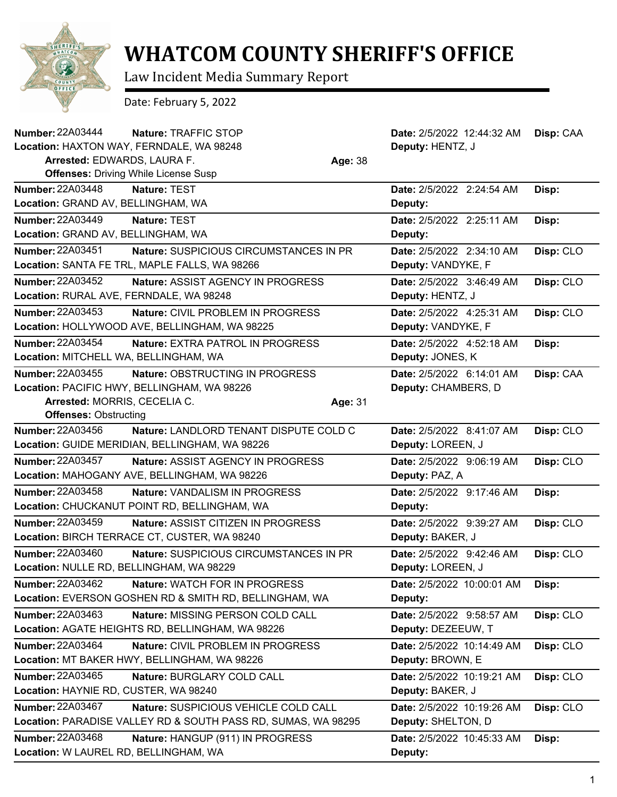

## **WHATCOM COUNTY SHERIFF'S OFFICE**

Law Incident Media Summary Report

Date: February 5, 2022

| <b>Number: 22A03444</b>                  | Nature: TRAFFIC STOP                                          |         | Date: 2/5/2022 12:44:32 AM | Disp: CAA |
|------------------------------------------|---------------------------------------------------------------|---------|----------------------------|-----------|
| Location: HAXTON WAY, FERNDALE, WA 98248 |                                                               |         | Deputy: HENTZ, J           |           |
| Arrested: EDWARDS, LAURA F.              |                                                               | Age: 38 |                            |           |
|                                          | <b>Offenses: Driving While License Susp</b>                   |         |                            |           |
| <b>Number: 22A03448</b>                  | Nature: TEST                                                  |         | Date: 2/5/2022 2:24:54 AM  | Disp:     |
| Location: GRAND AV, BELLINGHAM, WA       |                                                               |         | Deputy:                    |           |
| Number: 22A03449                         | Nature: TEST                                                  |         | Date: 2/5/2022 2:25:11 AM  | Disp:     |
| Location: GRAND AV, BELLINGHAM, WA       |                                                               |         | Deputy:                    |           |
| Number: 22A03451                         | Nature: SUSPICIOUS CIRCUMSTANCES IN PR                        |         | Date: 2/5/2022 2:34:10 AM  | Disp: CLO |
|                                          | Location: SANTA FE TRL, MAPLE FALLS, WA 98266                 |         | Deputy: VANDYKE, F         |           |
| Number: 22A03452                         | Nature: ASSIST AGENCY IN PROGRESS                             |         | Date: 2/5/2022 3:46:49 AM  | Disp: CLO |
| Location: RURAL AVE, FERNDALE, WA 98248  |                                                               |         | Deputy: HENTZ, J           |           |
| <b>Number: 22A03453</b>                  | Nature: CIVIL PROBLEM IN PROGRESS                             |         | Date: 2/5/2022 4:25:31 AM  | Disp: CLO |
|                                          | Location: HOLLYWOOD AVE, BELLINGHAM, WA 98225                 |         | Deputy: VANDYKE, F         |           |
| <b>Number: 22A03454</b>                  | Nature: EXTRA PATROL IN PROGRESS                              |         | Date: 2/5/2022 4:52:18 AM  | Disp:     |
| Location: MITCHELL WA, BELLINGHAM, WA    |                                                               |         | Deputy: JONES, K           |           |
| Number: 22A03455                         | Nature: OBSTRUCTING IN PROGRESS                               |         | Date: 2/5/2022 6:14:01 AM  | Disp: CAA |
|                                          | Location: PACIFIC HWY, BELLINGHAM, WA 98226                   |         | Deputy: CHAMBERS, D        |           |
| Arrested: MORRIS, CECELIA C.             |                                                               | Age: 31 |                            |           |
| <b>Offenses: Obstructing</b>             |                                                               |         |                            |           |
| Number: 22A03456                         | Nature: LANDLORD TENANT DISPUTE COLD C                        |         | Date: 2/5/2022 8:41:07 AM  | Disp: CLO |
|                                          | Location: GUIDE MERIDIAN, BELLINGHAM, WA 98226                |         | Deputy: LOREEN, J          |           |
| <b>Number: 22A03457</b>                  | <b>Nature: ASSIST AGENCY IN PROGRESS</b>                      |         | Date: 2/5/2022 9:06:19 AM  | Disp: CLO |
|                                          | Location: MAHOGANY AVE, BELLINGHAM, WA 98226                  |         | Deputy: PAZ, A             |           |
| <b>Number: 22A03458</b>                  | Nature: VANDALISM IN PROGRESS                                 |         | Date: 2/5/2022 9:17:46 AM  | Disp:     |
|                                          | Location: CHUCKANUT POINT RD, BELLINGHAM, WA                  |         | Deputy:                    |           |
| Number: 22A03459                         | Nature: ASSIST CITIZEN IN PROGRESS                            |         | Date: 2/5/2022 9:39:27 AM  | Disp: CLO |
|                                          | Location: BIRCH TERRACE CT, CUSTER, WA 98240                  |         | Deputy: BAKER, J           |           |
| Number: 22A03460                         | Nature: SUSPICIOUS CIRCUMSTANCES IN PR                        |         | Date: 2/5/2022 9:42:46 AM  | Disp: CLO |
| Location: NULLE RD, BELLINGHAM, WA 98229 |                                                               |         | Deputy: LOREEN, J          |           |
| Number: 22A03462                         | Nature: WATCH FOR IN PROGRESS                                 |         | Date: 2/5/2022 10:00:01 AM | Disp:     |
|                                          | Location: EVERSON GOSHEN RD & SMITH RD, BELLINGHAM, WA        |         | Deputy:                    |           |
| Number: 22A03463                         | Nature: MISSING PERSON COLD CALL                              |         | Date: 2/5/2022 9:58:57 AM  | Disp: CLO |
|                                          | Location: AGATE HEIGHTS RD, BELLINGHAM, WA 98226              |         | Deputy: DEZEEUW, T         |           |
| Number: 22A03464                         | Nature: CIVIL PROBLEM IN PROGRESS                             |         | Date: 2/5/2022 10:14:49 AM | Disp: CLO |
|                                          | Location: MT BAKER HWY, BELLINGHAM, WA 98226                  |         | Deputy: BROWN, E           |           |
| Number: 22A03465                         | Nature: BURGLARY COLD CALL                                    |         | Date: 2/5/2022 10:19:21 AM | Disp: CLO |
| Location: HAYNIE RD, CUSTER, WA 98240    |                                                               |         | Deputy: BAKER, J           |           |
| Number: 22A03467                         | Nature: SUSPICIOUS VEHICLE COLD CALL                          |         | Date: 2/5/2022 10:19:26 AM | Disp: CLO |
|                                          | Location: PARADISE VALLEY RD & SOUTH PASS RD, SUMAS, WA 98295 |         | Deputy: SHELTON, D         |           |
| Number: 22A03468                         | Nature: HANGUP (911) IN PROGRESS                              |         | Date: 2/5/2022 10:45:33 AM | Disp:     |
| Location: W LAUREL RD, BELLINGHAM, WA    |                                                               |         | Deputy:                    |           |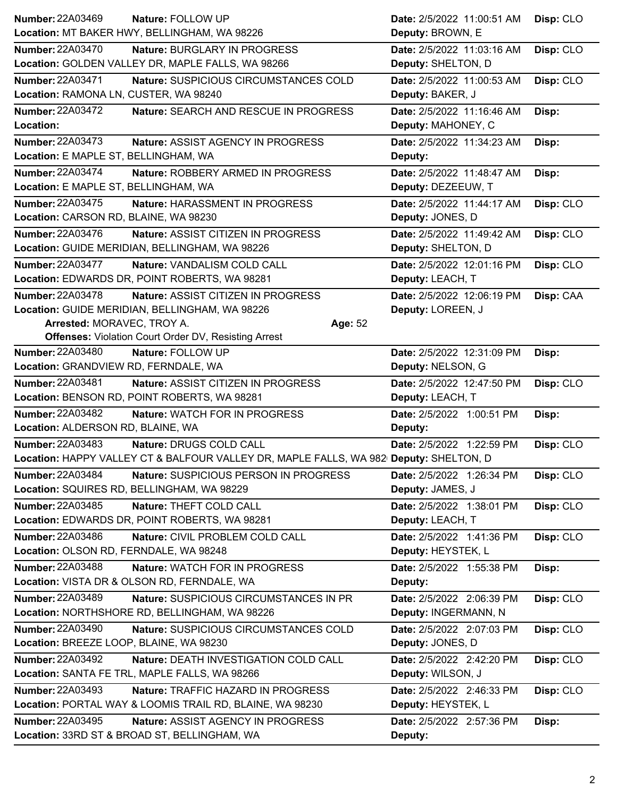| <b>Number: 22A03469</b><br>Nature: FOLLOW UP                                          | Date: 2/5/2022 11:00:51 AM | Disp: CLO |
|---------------------------------------------------------------------------------------|----------------------------|-----------|
| Location: MT BAKER HWY, BELLINGHAM, WA 98226                                          | Deputy: BROWN, E           |           |
| <b>Number: 22A03470</b><br>Nature: BURGLARY IN PROGRESS                               | Date: 2/5/2022 11:03:16 AM | Disp: CLO |
| Location: GOLDEN VALLEY DR, MAPLE FALLS, WA 98266                                     | Deputy: SHELTON, D         |           |
| Number: 22A03471<br>Nature: SUSPICIOUS CIRCUMSTANCES COLD                             | Date: 2/5/2022 11:00:53 AM | Disp: CLO |
| Location: RAMONA LN, CUSTER, WA 98240                                                 | Deputy: BAKER, J           |           |
| <b>Number: 22A03472</b><br>Nature: SEARCH AND RESCUE IN PROGRESS                      | Date: 2/5/2022 11:16:46 AM | Disp:     |
| Location:                                                                             | Deputy: MAHONEY, C         |           |
| <b>Number: 22A03473</b><br>Nature: ASSIST AGENCY IN PROGRESS                          | Date: 2/5/2022 11:34:23 AM | Disp:     |
| Location: E MAPLE ST, BELLINGHAM, WA                                                  | Deputy:                    |           |
| <b>Number: 22A03474</b><br>Nature: ROBBERY ARMED IN PROGRESS                          | Date: 2/5/2022 11:48:47 AM | Disp:     |
| Location: E MAPLE ST, BELLINGHAM, WA                                                  | Deputy: DEZEEUW, T         |           |
| Number: 22A03475<br>Nature: HARASSMENT IN PROGRESS                                    | Date: 2/5/2022 11:44:17 AM | Disp: CLO |
| Location: CARSON RD, BLAINE, WA 98230                                                 | Deputy: JONES, D           |           |
| Number: 22A03476<br>Nature: ASSIST CITIZEN IN PROGRESS                                | Date: 2/5/2022 11:49:42 AM | Disp: CLO |
| Location: GUIDE MERIDIAN, BELLINGHAM, WA 98226                                        | Deputy: SHELTON, D         |           |
| <b>Number: 22A03477</b><br>Nature: VANDALISM COLD CALL                                | Date: 2/5/2022 12:01:16 PM | Disp: CLO |
| Location: EDWARDS DR, POINT ROBERTS, WA 98281                                         | Deputy: LEACH, T           |           |
| <b>Number: 22A03478</b><br>Nature: ASSIST CITIZEN IN PROGRESS                         | Date: 2/5/2022 12:06:19 PM | Disp: CAA |
| Location: GUIDE MERIDIAN, BELLINGHAM, WA 98226                                        | Deputy: LOREEN, J          |           |
| Arrested: MORAVEC, TROY A.<br>Age: 52                                                 |                            |           |
| <b>Offenses: Violation Court Order DV, Resisting Arrest</b>                           |                            |           |
| <b>Number: 22A03480</b><br>Nature: FOLLOW UP                                          | Date: 2/5/2022 12:31:09 PM | Disp:     |
| Location: GRANDVIEW RD, FERNDALE, WA                                                  | Deputy: NELSON, G          |           |
| Number: 22A03481<br>Nature: ASSIST CITIZEN IN PROGRESS                                | Date: 2/5/2022 12:47:50 PM | Disp: CLO |
|                                                                                       |                            |           |
| Location: BENSON RD, POINT ROBERTS, WA 98281                                          | Deputy: LEACH, T           |           |
| Number: 22A03482<br>Nature: WATCH FOR IN PROGRESS                                     | Date: 2/5/2022 1:00:51 PM  | Disp:     |
| Location: ALDERSON RD, BLAINE, WA                                                     | Deputy:                    |           |
| Number: 22A03483<br>Nature: DRUGS COLD CALL                                           | Date: 2/5/2022 1:22:59 PM  | Disp: CLO |
| Location: HAPPY VALLEY CT & BALFOUR VALLEY DR, MAPLE FALLS, WA 982 Deputy: SHELTON, D |                            |           |
| Number: 22A03484<br>Nature: SUSPICIOUS PERSON IN PROGRESS                             | Date: 2/5/2022 1:26:34 PM  | Disp: CLO |
| Location: SQUIRES RD, BELLINGHAM, WA 98229                                            | Deputy: JAMES, J           |           |
| Number: 22A03485<br>Nature: THEFT COLD CALL                                           | Date: 2/5/2022 1:38:01 PM  | Disp: CLO |
| Location: EDWARDS DR, POINT ROBERTS, WA 98281                                         | Deputy: LEACH, T           |           |
| <b>Number: 22A03486</b><br>Nature: CIVIL PROBLEM COLD CALL                            | Date: 2/5/2022 1:41:36 PM  | Disp: CLO |
| Location: OLSON RD, FERNDALE, WA 98248                                                | Deputy: HEYSTEK, L         |           |
| <b>Number: 22A03488</b><br>Nature: WATCH FOR IN PROGRESS                              | Date: 2/5/2022 1:55:38 PM  | Disp:     |
| Location: VISTA DR & OLSON RD, FERNDALE, WA                                           | Deputy:                    |           |
| <b>Number: 22A03489</b><br>Nature: SUSPICIOUS CIRCUMSTANCES IN PR                     | Date: 2/5/2022 2:06:39 PM  | Disp: CLO |
| Location: NORTHSHORE RD, BELLINGHAM, WA 98226                                         | Deputy: INGERMANN, N       |           |
| <b>Number: 22A03490</b><br>Nature: SUSPICIOUS CIRCUMSTANCES COLD                      | Date: 2/5/2022 2:07:03 PM  | Disp: CLO |
| Location: BREEZE LOOP, BLAINE, WA 98230                                               | Deputy: JONES, D           |           |
| <b>Number: 22A03492</b><br>Nature: DEATH INVESTIGATION COLD CALL                      | Date: 2/5/2022 2:42:20 PM  | Disp: CLO |
| Location: SANTA FE TRL, MAPLE FALLS, WA 98266                                         | Deputy: WILSON, J          |           |
| <b>Number: 22A03493</b><br>Nature: TRAFFIC HAZARD IN PROGRESS                         | Date: 2/5/2022 2:46:33 PM  | Disp: CLO |
| Location: PORTAL WAY & LOOMIS TRAIL RD, BLAINE, WA 98230                              | Deputy: HEYSTEK, L         |           |
| <b>Number: 22A03495</b><br>Nature: ASSIST AGENCY IN PROGRESS                          | Date: 2/5/2022 2:57:36 PM  | Disp:     |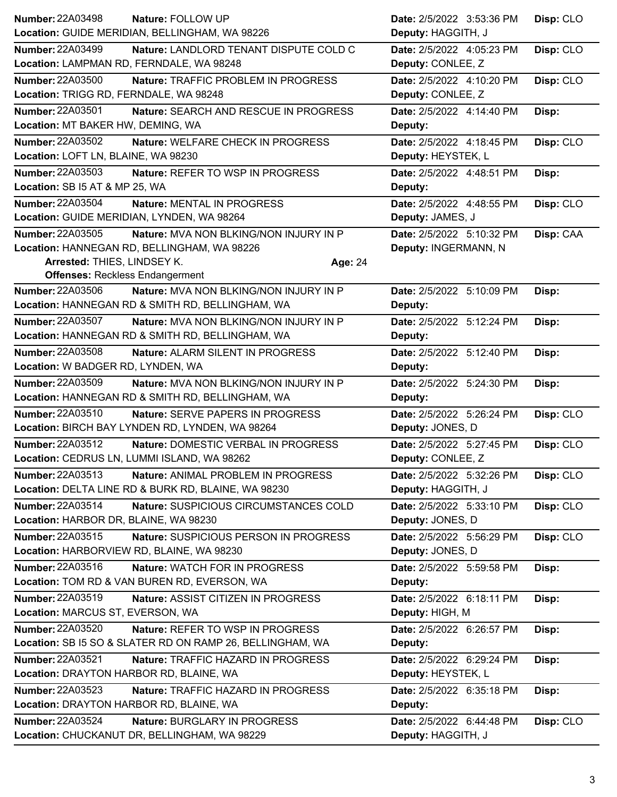| <b>Number: 22A03498</b><br>Nature: FOLLOW UP              |                                               | Date: 2/5/2022 3:53:36 PM | Disp: CLO |
|-----------------------------------------------------------|-----------------------------------------------|---------------------------|-----------|
| Location: GUIDE MERIDIAN, BELLINGHAM, WA 98226            |                                               | Deputy: HAGGITH, J        |           |
| <b>Number: 22A03499</b>                                   | Nature: LANDLORD TENANT DISPUTE COLD C        | Date: 2/5/2022 4:05:23 PM | Disp: CLO |
| Location: LAMPMAN RD, FERNDALE, WA 98248                  |                                               | Deputy: CONLEE, Z         |           |
| <b>Number: 22A03500</b>                                   | Nature: TRAFFIC PROBLEM IN PROGRESS           | Date: 2/5/2022 4:10:20 PM | Disp: CLO |
| Location: TRIGG RD, FERNDALE, WA 98248                    |                                               | Deputy: CONLEE, Z         |           |
| <b>Number: 22A03501</b>                                   | Nature: SEARCH AND RESCUE IN PROGRESS         | Date: 2/5/2022 4:14:40 PM | Disp:     |
| Location: MT BAKER HW, DEMING, WA                         |                                               | Deputy:                   |           |
| Number: 22A03502                                          | Nature: WELFARE CHECK IN PROGRESS             | Date: 2/5/2022 4:18:45 PM | Disp: CLO |
| Location: LOFT LN, BLAINE, WA 98230                       |                                               | Deputy: HEYSTEK, L        |           |
| Number: 22A03503                                          | Nature: REFER TO WSP IN PROGRESS              | Date: 2/5/2022 4:48:51 PM | Disp:     |
| Location: SB I5 AT & MP 25, WA                            |                                               | Deputy:                   |           |
| Number: 22A03504<br><b>Nature: MENTAL IN PROGRESS</b>     |                                               | Date: 2/5/2022 4:48:55 PM | Disp: CLO |
| Location: GUIDE MERIDIAN, LYNDEN, WA 98264                |                                               | Deputy: JAMES, J          |           |
| Number: 22A03505                                          | Nature: MVA NON BLKING/NON INJURY IN P        | Date: 2/5/2022 5:10:32 PM | Disp: CAA |
| Location: HANNEGAN RD, BELLINGHAM, WA 98226               |                                               | Deputy: INGERMANN, N      |           |
| Arrested: THIES, LINDSEY K.                               | Age: 24                                       |                           |           |
| <b>Offenses: Reckless Endangerment</b>                    |                                               |                           |           |
| <b>Number: 22A03506</b>                                   | <b>Nature: MVA NON BLKING/NON INJURY IN P</b> | Date: 2/5/2022 5:10:09 PM | Disp:     |
| Location: HANNEGAN RD & SMITH RD, BELLINGHAM, WA          |                                               | Deputy:                   |           |
| Number: 22A03507                                          | <b>Nature: MVA NON BLKING/NON INJURY IN P</b> | Date: 2/5/2022 5:12:24 PM | Disp:     |
| Location: HANNEGAN RD & SMITH RD, BELLINGHAM, WA          |                                               | Deputy:                   |           |
| <b>Number: 22A03508</b>                                   | Nature: ALARM SILENT IN PROGRESS              | Date: 2/5/2022 5:12:40 PM | Disp:     |
| Location: W BADGER RD, LYNDEN, WA                         |                                               | Deputy:                   |           |
| <b>Number: 22A03509</b>                                   | Nature: MVA NON BLKING/NON INJURY IN P        | Date: 2/5/2022 5:24:30 PM | Disp:     |
| Location: HANNEGAN RD & SMITH RD, BELLINGHAM, WA          |                                               | Deputy:                   |           |
| Number: 22A03510                                          | Nature: SERVE PAPERS IN PROGRESS              | Date: 2/5/2022 5:26:24 PM | Disp: CLO |
| Location: BIRCH BAY LYNDEN RD, LYNDEN, WA 98264           |                                               | Deputy: JONES, D          |           |
| <b>Number: 22A03512</b>                                   | Nature: DOMESTIC VERBAL IN PROGRESS           | Date: 2/5/2022 5:27:45 PM | Disp: CLO |
| Location: CEDRUS LN, LUMMI ISLAND, WA 98262               |                                               | Deputy: CONLEE, Z         |           |
| Number: 22A03513                                          | Nature: ANIMAL PROBLEM IN PROGRESS            | Date: 2/5/2022 5:32:26 PM | Disp: CLO |
| Location: DELTA LINE RD & BURK RD, BLAINE, WA 98230       |                                               | Deputy: HAGGITH, J        |           |
| Number: 22A03514                                          | Nature: SUSPICIOUS CIRCUMSTANCES COLD         | Date: 2/5/2022 5:33:10 PM | Disp: CLO |
| Location: HARBOR DR, BLAINE, WA 98230                     |                                               | Deputy: JONES, D          |           |
| Number: 22A03515                                          | Nature: SUSPICIOUS PERSON IN PROGRESS         | Date: 2/5/2022 5:56:29 PM | Disp: CLO |
| Location: HARBORVIEW RD, BLAINE, WA 98230                 |                                               | Deputy: JONES, D          |           |
| <b>Number: 22A03516</b><br>Nature: WATCH FOR IN PROGRESS  |                                               |                           |           |
| Location: TOM RD & VAN BUREN RD, EVERSON, WA              |                                               | Date: 2/5/2022 5:59:58 PM | Disp:     |
|                                                           |                                               | Deputy:                   |           |
| Number: 22A03519                                          | Nature: ASSIST CITIZEN IN PROGRESS            | Date: 2/5/2022 6:18:11 PM | Disp:     |
| Location: MARCUS ST, EVERSON, WA                          |                                               | Deputy: HIGH, M           |           |
| <b>Number: 22A03520</b>                                   | Nature: REFER TO WSP IN PROGRESS              | Date: 2/5/2022 6:26:57 PM | Disp:     |
| Location: SB I5 SO & SLATER RD ON RAMP 26, BELLINGHAM, WA |                                               | Deputy:                   |           |
| <b>Number: 22A03521</b>                                   | Nature: TRAFFIC HAZARD IN PROGRESS            | Date: 2/5/2022 6:29:24 PM | Disp:     |
| Location: DRAYTON HARBOR RD, BLAINE, WA                   |                                               | Deputy: HEYSTEK, L        |           |
| Number: 22A03523                                          | Nature: TRAFFIC HAZARD IN PROGRESS            | Date: 2/5/2022 6:35:18 PM | Disp:     |
| Location: DRAYTON HARBOR RD, BLAINE, WA                   |                                               | Deputy:                   |           |
| Number: 22A03524                                          | Nature: BURGLARY IN PROGRESS                  | Date: 2/5/2022 6:44:48 PM | Disp: CLO |